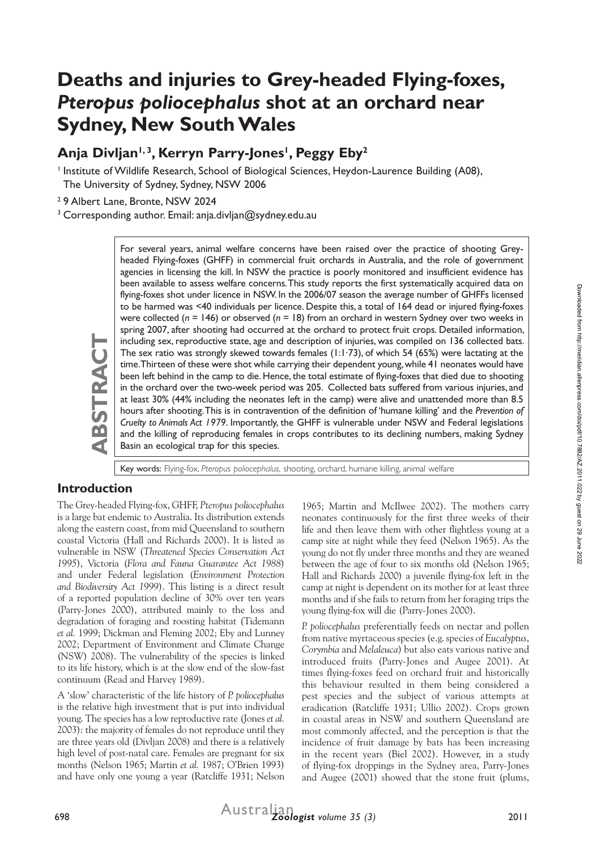# **Deaths and injuries to Grey-headed Flying-foxes,**  *Pteropus poliocephalus* **shot at an orchard near Sydney, New South Wales**

# Anja Divljan<sup>1,3</sup>, Kerryn Parry-Jones<sup>1</sup>, Peggy Eby<sup>2</sup>

<sup>1</sup> Institute of Wildlife Research, School of Biological Sciences, Heydon-Laurence Building (A08), The University of Sydney, Sydney, NSW 2006

<sup>2</sup> 9 Albert Lane, Bronte, NSW 2024

<sup>3</sup> Corresponding author. Email: anja.divljan@sydney.edu.au

For several years, animal welfare concerns have been raised over the practice of shooting Greyheaded Flying-foxes (GHFF) in commercial fruit orchards in Australia, and the role of government agencies in licensing the kill. In NSW the practice is poorly monitored and insufficient evidence has been available to assess welfare concerns. This study reports the first systematically acquired data on flying-foxes shot under licence in NSW. In the 2006/07 season the average number of GHFFs licensed to be harmed was <40 individuals per licence. Despite this, a total of 164 dead or injured flying-foxes were collected (*n* = 146) or observed (*n* = 18) from an orchard in western Sydney over two weeks in spring 2007, after shooting had occurred at the orchard to protect fruit crops. Detailed information, including sex, reproductive state, age and description of injuries, was compiled on 136 collected bats. The sex ratio was strongly skewed towards females (1:1∙73), of which 54 (65%) were lactating at the time. Thirteen of these were shot while carrying their dependent young, while 41 neonates would have been left behind in the camp to die. Hence, the total estimate of flying-foxes that died due to shooting in the orchard over the two-week period was 205. Collected bats suffered from various injuries, and at least 30% (44% including the neonates left in the camp) were alive and unattended more than 8.5 hours after shooting. This is in contravention of the definition of 'humane killing' and the *Prevention of Cruelty to Animals Act 1979*. Importantly, the GHFF is vulnerable under NSW and Federal legislations and the killing of reproducing females in crops contributes to its declining numbers, making Sydney Basin an ecological trap for this species.

Key words: Flying-fox, *Pteropus poliocephalus,* shooting, orchard, humane killing, animal welfare

# **Introduction**

**ABSTRACT**

BSTRAC

The Grey-headed Flying-fox, GHFF, *Pteropus poliocephalus* is a large bat endemic to Australia. Its distribution extends along the eastern coast, from mid Queensland to southern coastal Victoria (Hall and Richards 2000). It is listed as vulnerable in NSW (*Threatened Species Conservation Act 1995*), Victoria (*Flora and Fauna Guarantee Act 1988*) and under Federal legislation (*Environment Protection and Biodiversity Act 1999*). This listing is a direct result of a reported population decline of 30% over ten years (Parry-Jones 2000), attributed mainly to the loss and degradation of foraging and roosting habitat (Tidemann *et al.* 1999; Dickman and Fleming 2002; Eby and Lunney 2002; Department of Environment and Climate Change (NSW) 2008). The vulnerability of the species is linked to its life history, which is at the slow end of the slow-fast continuum (Read and Harvey 1989).

A 'slow' characteristic of the life history of *P. poliocephalus* is the relative high investment that is put into individual young. The species has a low reproductive rate (Jones *et al.* 2003): the majority of females do not reproduce until they are three years old (Divljan 2008) and there is a relatively high level of post-natal care. Females are pregnant for six months (Nelson 1965; Martin *et al.* 1987; O'Brien 1993) and have only one young a year (Ratcliffe 1931; Nelson

1965; Martin and McIlwee 2002). The mothers carry neonates continuously for the first three weeks of their life and then leave them with other flightless young at a camp site at night while they feed (Nelson 1965). As the young do not fly under three months and they are weaned between the age of four to six months old (Nelson 1965; Hall and Richards 2000) a juvenile flying-fox left in the camp at night is dependent on its mother for at least three months and if she fails to return from her foraging trips the young flying-fox will die (Parry-Jones 2000).

*P. poliocephalus* preferentially feeds on nectar and pollen from native myrtaceous species (e.g. species of *Eucalyptus*, *Corymbia* and *Melaleuca*) but also eats various native and introduced fruits (Parry-Jones and Augee 2001). At times flying-foxes feed on orchard fruit and historically this behaviour resulted in them being considered a pest species and the subject of various attempts at eradication (Ratcliffe 1931; Ullio 2002). Crops grown in coastal areas in NSW and southern Queensland are most commonly affected, and the perception is that the incidence of fruit damage by bats has been increasing in the recent years (Biel 2002). However, in a study of flying-fox droppings in the Sydney area, Parry-Jones and Augee (2001) showed that the stone fruit (plums,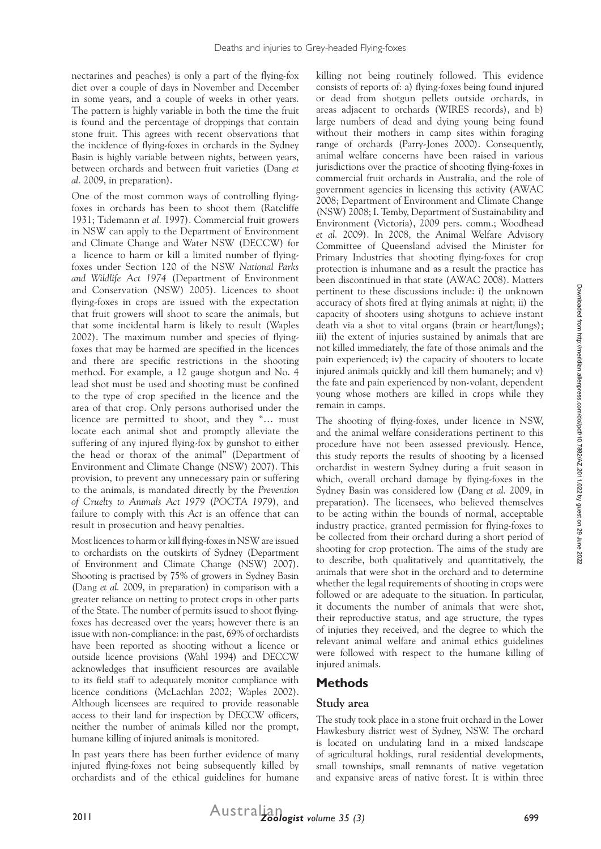nectarines and peaches) is only a part of the flying-fox diet over a couple of days in November and December in some years, and a couple of weeks in other years. The pattern is highly variable in both the time the fruit is found and the percentage of droppings that contain stone fruit. This agrees with recent observations that the incidence of flying-foxes in orchards in the Sydney Basin is highly variable between nights, between years, between orchards and between fruit varieties (Dang *et al.* 2009, in preparation).

One of the most common ways of controlling flyingfoxes in orchards has been to shoot them (Ratcliffe 1931; Tidemann *et al.* 1997). Commercial fruit growers in NSW can apply to the Department of Environment and Climate Change and Water NSW (DECCW) for a licence to harm or kill a limited number of flyingfoxes under Section 120 of the NSW *National Parks and Wildlife Act 1974* (Department of Environment and Conservation (NSW) 2005). Licences to shoot flying-foxes in crops are issued with the expectation that fruit growers will shoot to scare the animals, but that some incidental harm is likely to result (Waples 2002). The maximum number and species of flyingfoxes that may be harmed are specified in the licences and there are specific restrictions in the shooting method. For example, a 12 gauge shotgun and No. 4 lead shot must be used and shooting must be confined to the type of crop specified in the licence and the area of that crop. Only persons authorised under the licence are permitted to shoot, and they "… must locate each animal shot and promptly alleviate the suffering of any injured flying-fox by gunshot to either the head or thorax of the animal" (Department of Environment and Climate Change (NSW) 2007). This provision, to prevent any unnecessary pain or suffering to the animals, is mandated directly by the *Prevention of Cruelty to Animals Act 1979* (*POCTA 1979*), and failure to comply with this *Act* is an offence that can result in prosecution and heavy penalties.

Most licences to harm or kill flying-foxes in NSW are issued to orchardists on the outskirts of Sydney (Department of Environment and Climate Change (NSW) 2007). Shooting is practised by 75% of growers in Sydney Basin (Dang *et al.* 2009, in preparation) in comparison with a greater reliance on netting to protect crops in other parts of the State. The number of permits issued to shoot flyingfoxes has decreased over the years; however there is an issue with non-compliance: in the past, 69% of orchardists have been reported as shooting without a licence or outside licence provisions (Wahl 1994) and DECCW acknowledges that insufficient resources are available to its field staff to adequately monitor compliance with licence conditions (McLachlan 2002; Waples 2002). Although licensees are required to provide reasonable access to their land for inspection by DECCW officers, neither the number of animals killed nor the prompt, humane killing of injured animals is monitored.

In past years there has been further evidence of many injured flying-foxes not being subsequently killed by orchardists and of the ethical guidelines for humane

killing not being routinely followed. This evidence consists of reports of: a) flying-foxes being found injured or dead from shotgun pellets outside orchards, in areas adjacent to orchards (WIRES records), and b) large numbers of dead and dying young being found without their mothers in camp sites within foraging range of orchards (Parry-Jones 2000). Consequently, animal welfare concerns have been raised in various jurisdictions over the practice of shooting flying-foxes in commercial fruit orchards in Australia, and the role of government agencies in licensing this activity (AWAC 2008; Department of Environment and Climate Change (NSW) 2008; I. Temby, Department of Sustainability and Environment (Victoria), 2009 pers. comm.; Woodhead *et al.* 2009). In 2008, the Animal Welfare Advisory Committee of Queensland advised the Minister for Primary Industries that shooting flying-foxes for crop protection is inhumane and as a result the practice has been discontinued in that state (AWAC 2008). Matters pertinent to these discussions include: i) the unknown accuracy of shots fired at flying animals at night; ii) the capacity of shooters using shotguns to achieve instant death via a shot to vital organs (brain or heart/lungs); iii) the extent of injuries sustained by animals that are not killed immediately, the fate of those animals and the pain experienced; iv) the capacity of shooters to locate injured animals quickly and kill them humanely; and v) the fate and pain experienced by non-volant, dependent young whose mothers are killed in crops while they remain in camps.

The shooting of flying-foxes, under licence in NSW, and the animal welfare considerations pertinent to this procedure have not been assessed previously. Hence, this study reports the results of shooting by a licensed orchardist in western Sydney during a fruit season in which, overall orchard damage by flying-foxes in the Sydney Basin was considered low (Dang *et al.* 2009, in preparation). The licensees, who believed themselves to be acting within the bounds of normal, acceptable industry practice, granted permission for flying-foxes to be collected from their orchard during a short period of shooting for crop protection. The aims of the study are to describe, both qualitatively and quantitatively, the animals that were shot in the orchard and to determine whether the legal requirements of shooting in crops were followed or are adequate to the situation. In particular, it documents the number of animals that were shot, their reproductive status, and age structure, the types of injuries they received, and the degree to which the relevant animal welfare and animal ethics guidelines were followed with respect to the humane killing of injured animals.

# **Methods**

# **Study area**

The study took place in a stone fruit orchard in the Lower Hawkesbury district west of Sydney, NSW. The orchard is located on undulating land in a mixed landscape of agricultural holdings, rural residential developments, small townships, small remnants of native vegetation and expansive areas of native forest. It is within three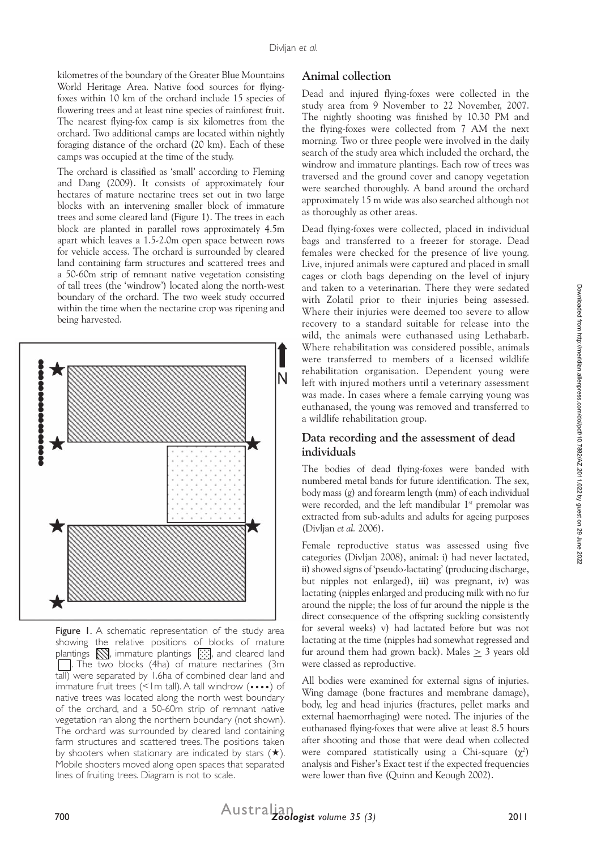kilometres of the boundary of the Greater Blue Mountains World Heritage Area. Native food sources for flyingfoxes within 10 km of the orchard include 15 species of flowering trees and at least nine species of rainforest fruit. The nearest flying-fox camp is six kilometres from the orchard. Two additional camps are located within nightly foraging distance of the orchard (20 km). Each of these camps was occupied at the time of the study.

The orchard is classified as 'small' according to Fleming and Dang (2009). It consists of approximately four hectares of mature nectarine trees set out in two large blocks with an intervening smaller block of immature trees and some cleared land (Figure 1). The trees in each block are planted in parallel rows approximately 4.5m apart which leaves a 1.5-2.0m open space between rows for vehicle access. The orchard is surrounded by cleared land containing farm structures and scattered trees and a 50-60m strip of remnant native vegetation consisting of tall trees (the 'windrow') located along the north-west boundary of the orchard. The two week study occurred within the time when the nectarine crop was ripening and being harvested.



Figure 1. A schematic representation of the study area showing the relative positions of blocks of mature plantings  $\sum$ , immature plantings  $\sum$ , and cleared land  $\Box$ . The two blocks (4ha) of mature nectarines (3m tall) were separated by 1.6ha of combined clear land and immature fruit trees (<1m tall). A tall windrow (••••) of native trees was located along the north west boundary of the orchard, and a 50-60m strip of remnant native vegetation ran along the northern boundary (not shown). The orchard was surrounded by cleared land containing farm structures and scattered trees. The positions taken by shooters when stationary are indicated by stars  $(\star)$ . Mobile shooters moved along open spaces that separated lines of fruiting trees. Diagram is not to scale.

#### **Animal collection**

Dead and injured flying-foxes were collected in the study area from 9 November to 22 November, 2007. The nightly shooting was finished by 10.30 PM and the flying-foxes were collected from 7 AM the next morning. Two or three people were involved in the daily search of the study area which included the orchard, the windrow and immature plantings. Each row of trees was traversed and the ground cover and canopy vegetation were searched thoroughly. A band around the orchard approximately 15 m wide was also searched although not as thoroughly as other areas.

Dead flying-foxes were collected, placed in individual bags and transferred to a freezer for storage. Dead females were checked for the presence of live young. Live, injured animals were captured and placed in small cages or cloth bags depending on the level of injury and taken to a veterinarian. There they were sedated with Zolatil prior to their injuries being assessed. Where their injuries were deemed too severe to allow recovery to a standard suitable for release into the wild, the animals were euthanased using Lethabarb. Where rehabilitation was considered possible, animals were transferred to members of a licensed wildlife rehabilitation organisation. Dependent young were left with injured mothers until a veterinary assessment was made. In cases where a female carrying young was euthanased, the young was removed and transferred to a wildlife rehabilitation group.

#### **Data recording and the assessment of dead individuals**

The bodies of dead flying-foxes were banded with numbered metal bands for future identification. The sex, body mass (g) and forearm length (mm) of each individual were recorded, and the left mandibular 1<sup>st</sup> premolar was extracted from sub-adults and adults for ageing purposes (Divljan *et al.* 2006).

Female reproductive status was assessed using five categories (Divljan 2008), animal: i) had never lactated, ii) showed signs of 'pseudo-lactating' (producing discharge, but nipples not enlarged), iii) was pregnant, iv) was lactating (nipples enlarged and producing milk with no fur around the nipple; the loss of fur around the nipple is the direct consequence of the offspring suckling consistently for several weeks) v) had lactated before but was not lactating at the time (nipples had somewhat regressed and fur around them had grown back). Males  $\geq$  3 years old were classed as reproductive.

All bodies were examined for external signs of injuries. Wing damage (bone fractures and membrane damage), body, leg and head injuries (fractures, pellet marks and external haemorrhaging) were noted. The injuries of the euthanased flying-foxes that were alive at least 8.5 hours after shooting and those that were dead when collected were compared statistically using a Chi-square (χ*<sup>2</sup>* ) analysis and Fisher's Exact test if the expected frequencies were lower than five (Quinn and Keough 2002).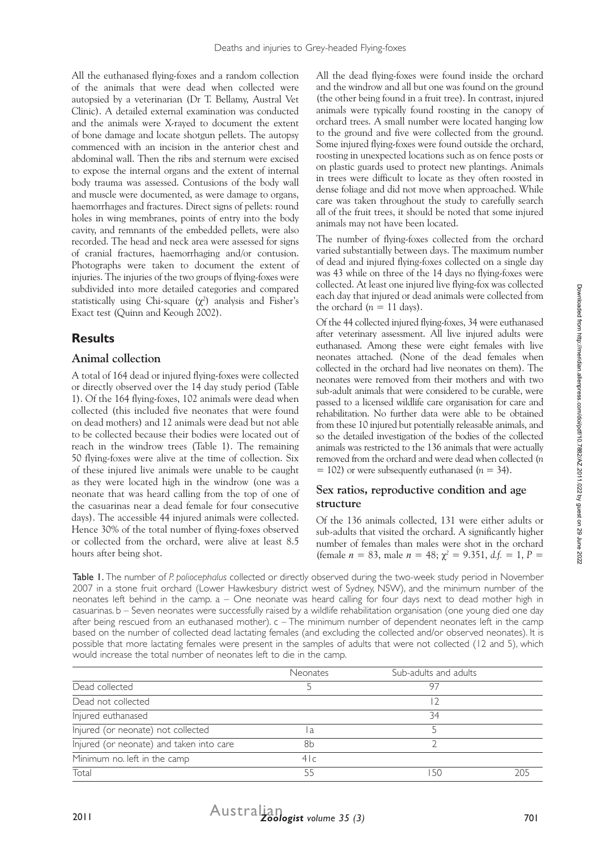All the euthanased flying-foxes and a random collection of the animals that were dead when collected were autopsied by a veterinarian (Dr T. Bellamy, Austral Vet Clinic). A detailed external examination was conducted and the animals were X-rayed to document the extent of bone damage and locate shotgun pellets. The autopsy commenced with an incision in the anterior chest and abdominal wall. Then the ribs and sternum were excised to expose the internal organs and the extent of internal body trauma was assessed. Contusions of the body wall and muscle were documented, as were damage to organs, haemorrhages and fractures. Direct signs of pellets: round holes in wing membranes, points of entry into the body cavity, and remnants of the embedded pellets, were also recorded. The head and neck area were assessed for signs of cranial fractures, haemorrhaging and/or contusion. Photographs were taken to document the extent of injuries. The injuries of the two groups of flying-foxes were subdivided into more detailed categories and compared statistically using Chi-square (χ*<sup>2</sup>* ) analysis and Fisher's Exact test (Quinn and Keough 2002).

# **Results**

# **Animal collection**

A total of 164 dead or injured flying-foxes were collected or directly observed over the 14 day study period (Table 1). Of the 164 flying-foxes, 102 animals were dead when collected (this included five neonates that were found on dead mothers) and 12 animals were dead but not able to be collected because their bodies were located out of reach in the windrow trees (Table 1). The remaining 50 flying-foxes were alive at the time of collection. Six of these injured live animals were unable to be caught as they were located high in the windrow (one was a neonate that was heard calling from the top of one of the casuarinas near a dead female for four consecutive days). The accessible 44 injured animals were collected. Hence 30% of the total number of flying-foxes observed or collected from the orchard, were alive at least 8.5 hours after being shot.

All the dead flying-foxes were found inside the orchard and the windrow and all but one was found on the ground (the other being found in a fruit tree). In contrast, injured animals were typically found roosting in the canopy of orchard trees. A small number were located hanging low to the ground and five were collected from the ground. Some injured flying-foxes were found outside the orchard, roosting in unexpected locations such as on fence posts or on plastic guards used to protect new plantings. Animals in trees were difficult to locate as they often roosted in dense foliage and did not move when approached. While care was taken throughout the study to carefully search all of the fruit trees, it should be noted that some injured animals may not have been located.

The number of flying-foxes collected from the orchard varied substantially between days. The maximum number of dead and injured flying-foxes collected on a single day was 43 while on three of the 14 days no flying-foxes were collected. At least one injured live flying-fox was collected each day that injured or dead animals were collected from the orchard  $(n = 11 \text{ days})$ .

Of the 44 collected injured flying-foxes, 34 were euthanased after veterinary assessment. All live injured adults were euthanased. Among these were eight females with live neonates attached. (None of the dead females when collected in the orchard had live neonates on them). The neonates were removed from their mothers and with two sub-adult animals that were considered to be curable, were passed to a licensed wildlife care organisation for care and rehabilitation. No further data were able to be obtained from these 10 injured but potentially releasable animals, and so the detailed investigation of the bodies of the collected animals was restricted to the 136 animals that were actually removed from the orchard and were dead when collected (*n*  $= 102$ ) or were subsequently euthanased ( $n = 34$ ).

# **Sex ratios, reproductive condition and age structure**

Of the 136 animals collected, 131 were either adults or sub-adults that visited the orchard. A significantly higher number of females than males were shot in the orchard (female  $n = 83$ , male  $n = 48$ ;  $\chi^2 = 9.351$ ,  $d.f. = 1$ ,  $P =$ 

Table 1. The number of *P. poliocephalus* collected or directly observed during the two-week study period in November 2007 in a stone fruit orchard (Lower Hawkesbury district west of Sydney, NSW), and the minimum number of the neonates left behind in the camp. a – One neonate was heard calling for four days next to dead mother high in casuarinas. b – Seven neonates were successfully raised by a wildlife rehabilitation organisation (one young died one day after being rescued from an euthanased mother). c – The minimum number of dependent neonates left in the camp based on the number of collected dead lactating females (and excluding the collected and/or observed neonates). It is possible that more lactating females were present in the samples of adults that were not collected (12 and 5), which would increase the total number of neonates left to die in the camp.

|                                          | <b>Neonates</b> | Sub-adults and adults |  |
|------------------------------------------|-----------------|-----------------------|--|
| Dead collected                           |                 | 97                    |  |
| Dead not collected                       |                 |                       |  |
| Injured euthanased                       |                 | 34                    |  |
| Injured (or neonate) not collected       | a               |                       |  |
| Injured (or neonate) and taken into care | 8h              |                       |  |
| Minimum no. left in the camp             | 4 c             |                       |  |
| Total                                    | 55              | -50                   |  |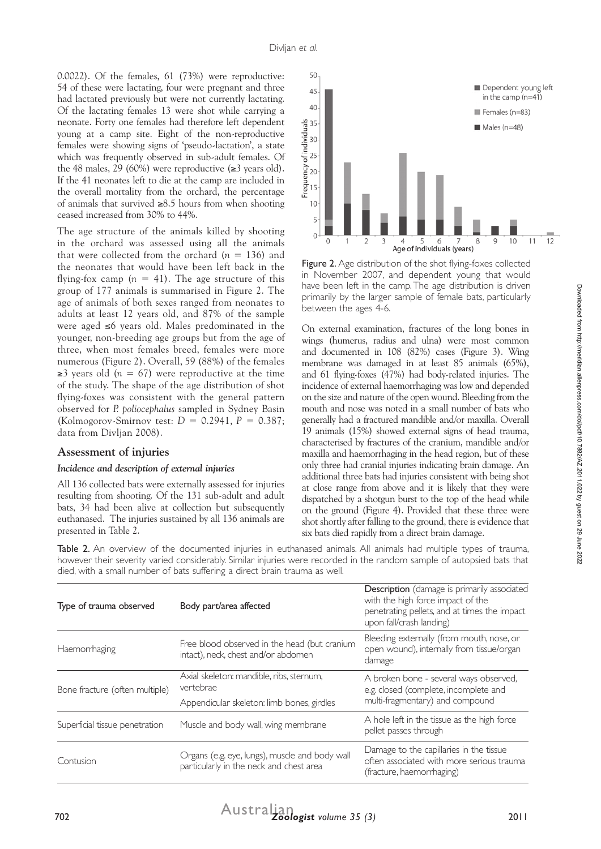0.0022). Of the females, 61 (73%) were reproductive: 54 of these were lactating, four were pregnant and three had lactated previously but were not currently lactating. Of the lactating females 13 were shot while carrying a neonate. Forty one females had therefore left dependent young at a camp site. Eight of the non-reproductive females were showing signs of 'pseudo-lactation', a state which was frequently observed in sub-adult females. Of the 48 males, 29 (60%) were reproductive  $(\geq 3$  years old). If the 41 neonates left to die at the camp are included in the overall mortality from the orchard, the percentage of animals that survived ≥8.5 hours from when shooting ceased increased from 30% to 44%.

The age structure of the animals killed by shooting in the orchard was assessed using all the animals that were collected from the orchard  $(n = 136)$  and the neonates that would have been left back in the flying-fox camp  $(n = 41)$ . The age structure of this group of 177 animals is summarised in Figure 2. The age of animals of both sexes ranged from neonates to adults at least 12 years old, and 87% of the sample were aged ≤6 years old. Males predominated in the younger, non-breeding age groups but from the age of three, when most females breed, females were more numerous (Figure 2). Overall, 59 (88%) of the females  $\geq$ 3 years old (*n* = 67) were reproductive at the time of the study. The shape of the age distribution of shot flying-foxes was consistent with the general pattern observed for *P. poliocephalus* sampled in Sydney Basin (Kolmogorov-Smirnov test: *D* = 0.2941, *P* = 0.387; data from Divljan 2008).

# **Assessment of injuries**

#### *Incidence and description of external injuries*

All 136 collected bats were externally assessed for injuries resulting from shooting. Of the 131 sub-adult and adult bats, 34 had been alive at collection but subsequently euthanased. The injuries sustained by all 136 animals are presented in Table 2.



Figure 2. Age distribution of the shot flying-foxes collected in November 2007, and dependent young that would have been left in the camp. The age distribution is driven primarily by the larger sample of female bats, particularly between the ages 4-6.

On external examination, fractures of the long bones in wings (humerus, radius and ulna) were most common and documented in 108 (82%) cases (Figure 3). Wing membrane was damaged in at least 85 animals (65%), and 61 flying-foxes (47%) had body-related injuries. The incidence of external haemorrhaging was low and depended on the size and nature of the open wound. Bleeding from the mouth and nose was noted in a small number of bats who generally had a fractured mandible and/or maxilla. Overall 19 animals (15%) showed external signs of head trauma, characterised by fractures of the cranium, mandible and/or maxilla and haemorrhaging in the head region, but of these only three had cranial injuries indicating brain damage. An additional three bats had injuries consistent with being shot at close range from above and it is likely that they were dispatched by a shotgun burst to the top of the head while on the ground (Figure 4). Provided that these three were shot shortly after falling to the ground, there is evidence that six bats died rapidly from a direct brain damage.

Table 2. An overview of the documented injuries in euthanased animals. All animals had multiple types of trauma, however their severity varied considerably. Similar injuries were recorded in the random sample of autopsied bats that died, with a small number of bats suffering a direct brain trauma as well.

| Type of trauma observed        | Body part/area affected                                                                             | <b>Description</b> (damage is primarily associated<br>with the high force impact of the<br>penetrating pellets, and at times the impact<br>upon fall/crash landing) |  |
|--------------------------------|-----------------------------------------------------------------------------------------------------|---------------------------------------------------------------------------------------------------------------------------------------------------------------------|--|
| Haemorrhaging                  | Free blood observed in the head (but cranium<br>intact), neck, chest and/or abdomen                 | Bleeding externally (from mouth, nose, or<br>open wound), internally from tissue/organ<br>damage                                                                    |  |
| Bone fracture (often multiple) | Axial skeleton: mandible, ribs, sternum,<br>vertebrae<br>Appendicular skeleton: limb bones, girdles | A broken bone - several ways observed,<br>e.g. closed (complete, incomplete and<br>multi-fragmentary) and compound                                                  |  |
| Superficial tissue penetration | Muscle and body wall, wing membrane                                                                 | A hole left in the tissue as the high force<br>pellet passes through                                                                                                |  |
| Contusion                      | Organs (e.g. eye, lungs), muscle and body wall<br>particularly in the neck and chest area           | Damage to the capillaries in the tissue<br>often associated with more serious trauma<br>(fracture, haemorrhaging)                                                   |  |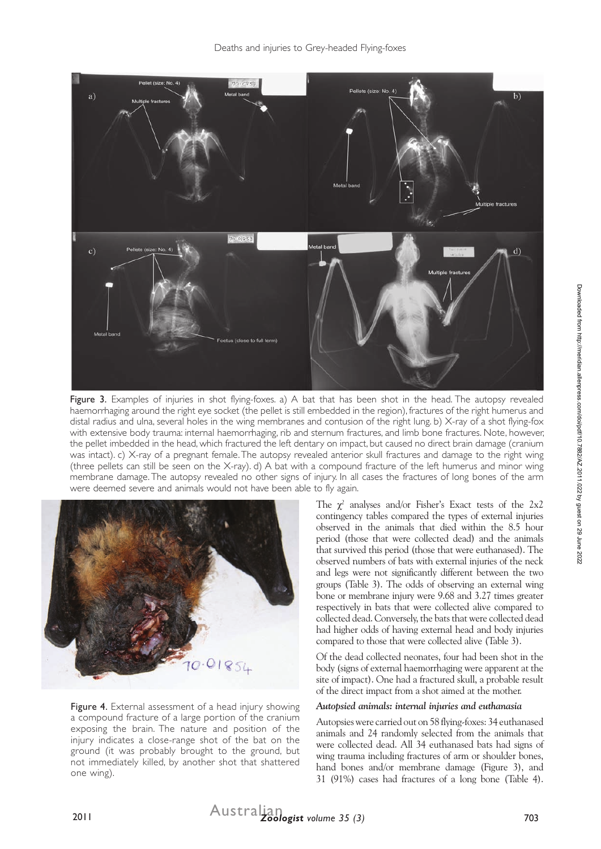

Figure 3. Examples of injuries in shot flying-foxes. a) A bat that has been shot in the head. The autopsy revealed haemorrhaging around the right eye socket (the pellet is still embedded in the region), fractures of the right humerus and distal radius and ulna, several holes in the wing membranes and contusion of the right lung. b) X-ray of a shot flying-fox with extensive body trauma: internal haemorrhaging, rib and sternum fractures, and limb bone fractures. Note, however, the pellet imbedded in the head, which fractured the left dentary on impact, but caused no direct brain damage (cranium was intact). c) X-ray of a pregnant female. The autopsy revealed anterior skull fractures and damage to the right wing (three pellets can still be seen on the X-ray). d) A bat with a compound fracture of the left humerus and minor wing membrane damage. The autopsy revealed no other signs of injury. In all cases the fractures of long bones of the arm were deemed severe and animals would not have been able to fly again.



Figure 4. External assessment of a head injury showing a compound fracture of a large portion of the cranium exposing the brain. The nature and position of the injury indicates a close-range shot of the bat on the ground (it was probably brought to the ground, but not immediately killed, by another shot that shattered one wing).

The  $\chi^2$  analyses and/or Fisher's Exact tests of the 2x2 contingency tables compared the types of external injuries observed in the animals that died within the 8.5 hour period (those that were collected dead) and the animals that survived this period (those that were euthanased). The observed numbers of bats with external injuries of the neck and legs were not significantly different between the two groups (Table 3). The odds of observing an external wing bone or membrane injury were 9.68 and 3.27 times greater respectively in bats that were collected alive compared to collected dead. Conversely, the bats that were collected dead had higher odds of having external head and body injuries compared to those that were collected alive (Table 3).

Of the dead collected neonates, four had been shot in the body (signs of external haemorrhaging were apparent at the site of impact). One had a fractured skull, a probable result of the direct impact from a shot aimed at the mother.

#### *Autopsied animals: internal injuries and euthanasia*

Autopsies were carried out on 58 flying-foxes: 34 euthanased animals and 24 randomly selected from the animals that were collected dead. All 34 euthanased bats had signs of wing trauma including fractures of arm or shoulder bones, hand bones and/or membrane damage (Figure 3), and 31 (91%) cases had fractures of a long bone (Table 4).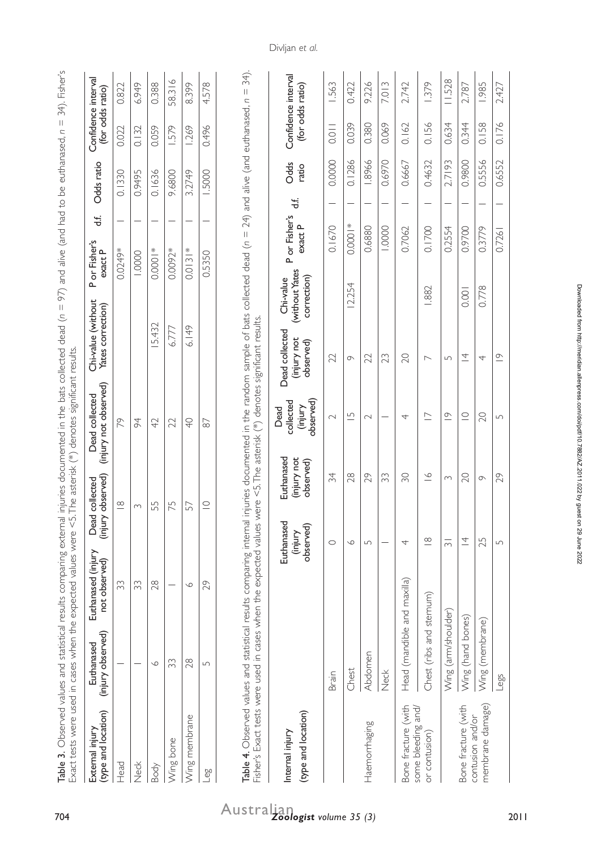| Exact tests were used in cases when the expected values were <5.<br>Table 3. Observed values and statistical results comparing external |                                 |                                     |                                                                              | injuries documented in the bats collected dead ( $n = 97$ ) and alive (and had to be euthanased, $n =$<br>The asterisk (*) denotes significant results. |                                                                                |                                            |                         |   |               |                                                  | 34). Fisher's |
|-----------------------------------------------------------------------------------------------------------------------------------------|---------------------------------|-------------------------------------|------------------------------------------------------------------------------|---------------------------------------------------------------------------------------------------------------------------------------------------------|--------------------------------------------------------------------------------|--------------------------------------------|-------------------------|---|---------------|--------------------------------------------------|---------------|
| (type and location)<br>External injury                                                                                                  | (injury observed)<br>Euthanased | Euthanased (injury<br>not observed) | observed)<br>collected<br>Dead<br>(injury                                    | (injury not observed)<br>Dead collected                                                                                                                 | Chi-value (without<br>Yates correction)                                        | P or Fisher's<br>exact P                   | 玉                       |   | Odds ratio    | Confidence interval<br>(for odds ratio)          |               |
| Head                                                                                                                                    |                                 | 33                                  | $\frac{\infty}{\infty}$                                                      | R                                                                                                                                                       |                                                                                | 0.0249*                                    |                         |   | 0.1330        | 0.022                                            | 0.822         |
| Neck                                                                                                                                    |                                 | 33                                  | $\sim$                                                                       | 94                                                                                                                                                      |                                                                                | 1.0000                                     |                         |   | 0.9495        | 0.132                                            | 6.949         |
| Body                                                                                                                                    | $\circ$                         | 28                                  | 55                                                                           | 42                                                                                                                                                      | 5.432                                                                          | $0.0001*$                                  |                         |   | 0.1636        | 0.059                                            | 0.388         |
| Wing bone                                                                                                                               | 33                              |                                     | 75                                                                           | 22                                                                                                                                                      | 6.777                                                                          | 0.0092*                                    |                         |   | 9.6800        | 1.579                                            | 58.316        |
| Wing membrane                                                                                                                           | 28                              | $\circ$                             | 57                                                                           | $\overline{P}$                                                                                                                                          | 6.149                                                                          | $0.0131*$                                  |                         |   | 3.2749        | 1.269                                            | 8.399         |
| $\overline{e}^{\overline{0}}$                                                                                                           | $\Box$                          | 29                                  | $\subseteq$                                                                  | 67                                                                                                                                                      |                                                                                | 0.5350                                     |                         |   | 1.5000        | 0.496                                            | 4.578         |
| Fisher's Exact tests were used in cases when the expected values were <5. The asterisk<br>(type and location)<br>Internal injury        |                                 |                                     | Euthanased<br>(injury not<br>observed)<br>Euthanased<br>observed)<br>(injury | observed)<br>collected<br>(injury<br>Dead                                                                                                               | (*) denotes significant results.<br>Dead collected<br>(injury not<br>observed) | (without Yates<br>correction)<br>Chi-value | Por Fisher's<br>exact P | 능 | Odds<br>ratio | Confidence interval<br>(for odds ratio)          |               |
|                                                                                                                                         | Brain                           |                                     | 34<br>$\circ$                                                                | $\sim$                                                                                                                                                  | 22                                                                             |                                            | 0.1670                  |   | 0.0000        | $\begin{array}{c}\n0.011 \\ \hline\n\end{array}$ | 1.563         |
|                                                                                                                                         | Chest                           |                                     | 28<br>$\circ$                                                                | $\overline{\phantom{0}}$                                                                                                                                | $\sigma$                                                                       | 12.254                                     | $0.0001*$               |   | 0.1286        | 0.039                                            | 0.422         |
| Haemorrhaging                                                                                                                           | Abdomen                         |                                     | 29<br>$\sqrt{ }$                                                             | $\sim$                                                                                                                                                  | 22                                                                             |                                            | 0.6880                  |   | 1.8966        | 0.380                                            | 9.226         |
|                                                                                                                                         | Neck                            |                                     | 33                                                                           |                                                                                                                                                         | 23                                                                             |                                            | 1.0000                  |   | 0.6970        | 0.069                                            | 7.013         |
| Bone fracture (with                                                                                                                     | Head (mandible and maxilla)     |                                     | SO.<br>4                                                                     | 4                                                                                                                                                       | 20                                                                             |                                            | 0.7062                  |   | 0.6667        | 0.162                                            | 2.742         |
| some bleeding and/<br>or contusion)                                                                                                     | Chest (ribs and sternum)        |                                     | $\cong$<br>$\frac{\infty}{\infty}$                                           | $\overline{\phantom{0}}$                                                                                                                                | $\overline{\phantom{0}}$                                                       | 1.882                                      | 0.1700                  |   | 0.4632        | 0.156                                            | 1.379         |
|                                                                                                                                         | Wing (arm/shoulder)             |                                     | $\infty$<br>$\overline{3}$                                                   | $\overline{\circ}$                                                                                                                                      | $\sqrt{ }$                                                                     |                                            | 0.2554                  |   | 2.7193        | 0.634                                            | 11.528        |
| Bone fracture (with                                                                                                                     | Wing (hand bones)               |                                     | $\Omega$<br>$\overline{4}$                                                   | $\subseteq$                                                                                                                                             | $\overline{4}$                                                                 | 0.001                                      | 0.9700                  |   | 0.9800        | 0.344                                            | 2.787         |
| membrane damage)<br>contusion and/or                                                                                                    | Wing (membrane)                 |                                     | $\sigma$<br>25                                                               | 20                                                                                                                                                      | 4                                                                              | 0.778                                      | 0.3779                  |   | 0.5556        | 0.158                                            | 1.985         |

Wing (membrane) 25 9 25 9 25 9 25 9 26 1.985 0.158 1.985 1.985 1.985 1.985 1.985 1.985 1.985 1.985 1.985 1.985 Legs 5 29 5 19 0.7261 1 0.6552 0.176 2.427

 $\overline{20}$  $\sqrt{ }$ 

25  $\overline{L}$ 

Legs

 $\frac{\sigma}{\sigma}$  $\overline{4}$ 

29  $\circ$ 

2.427

0.6552

 $\overline{a}$ 

 $0.7261$ 0.3779

0.158  $0.176$ 

Divljan *et al.*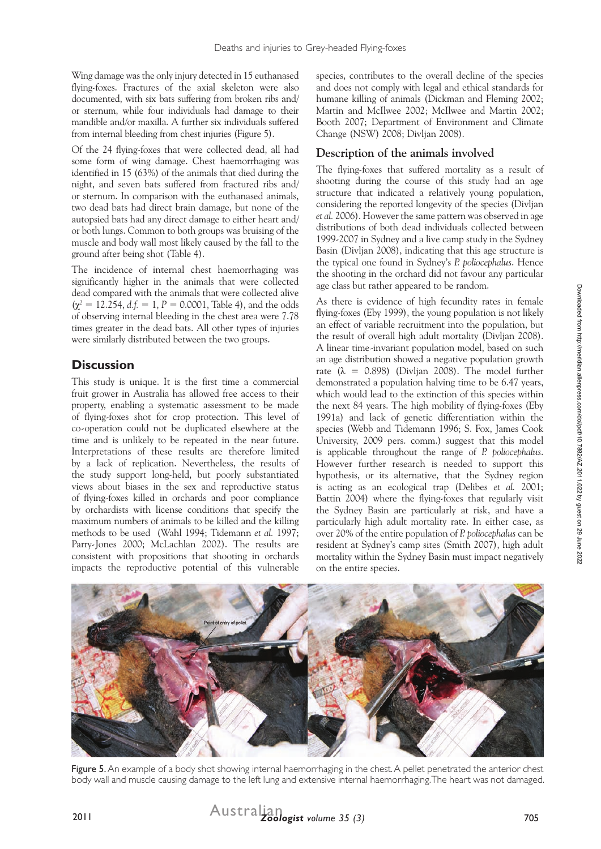Wing damage was the only injury detected in 15 euthanased flying-foxes. Fractures of the axial skeleton were also documented, with six bats suffering from broken ribs and/ or sternum, while four individuals had damage to their mandible and/or maxilla. A further six individuals suffered from internal bleeding from chest injuries (Figure 5).

Of the 24 flying-foxes that were collected dead, all had some form of wing damage. Chest haemorrhaging was identified in 15 (63%) of the animals that died during the night, and seven bats suffered from fractured ribs and/ or sternum. In comparison with the euthanased animals, two dead bats had direct brain damage, but none of the autopsied bats had any direct damage to either heart and/ or both lungs. Common to both groups was bruising of the muscle and body wall most likely caused by the fall to the ground after being shot (Table 4).

The incidence of internal chest haemorrhaging was significantly higher in the animals that were collected dead compared with the animals that were collected alive  $(\chi^2 = 12.254, d.f. = 1, P = 0.0001,$  Table 4), and the odds of observing internal bleeding in the chest area were 7.78 times greater in the dead bats. All other types of injuries were similarly distributed between the two groups.

# **Discussion**

This study is unique. It is the first time a commercial fruit grower in Australia has allowed free access to their property, enabling a systematic assessment to be made of flying-foxes shot for crop protection. This level of co-operation could not be duplicated elsewhere at the time and is unlikely to be repeated in the near future. Interpretations of these results are therefore limited by a lack of replication. Nevertheless, the results of the study support long-held, but poorly substantiated views about biases in the sex and reproductive status of flying-foxes killed in orchards and poor compliance by orchardists with license conditions that specify the maximum numbers of animals to be killed and the killing methods to be used (Wahl 1994; Tidemann *et al.* 1997; Parry-Jones 2000; McLachlan 2002). The results are consistent with propositions that shooting in orchards impacts the reproductive potential of this vulnerable

species, contributes to the overall decline of the species and does not comply with legal and ethical standards for humane killing of animals (Dickman and Fleming 2002; Martin and McIlwee 2002; McIlwee and Martin 2002; Booth 2007; Department of Environment and Climate Change (NSW) 2008; Divljan 2008).

# **Description of the animals involved**

The flying-foxes that suffered mortality as a result of shooting during the course of this study had an age structure that indicated a relatively young population, considering the reported longevity of the species (Divljan *et al.* 2006). However the same pattern was observed in age distributions of both dead individuals collected between 1999-2007 in Sydney and a live camp study in the Sydney Basin (Divljan 2008), indicating that this age structure is the typical one found in Sydney's *P. poliocephalus*. Hence the shooting in the orchard did not favour any particular age class but rather appeared to be random.

As there is evidence of high fecundity rates in female flying-foxes (Eby 1999), the young population is not likely an effect of variable recruitment into the population, but the result of overall high adult mortality (Divljan 2008). A linear time-invariant population model, based on such an age distribution showed a negative population growth rate  $(\lambda = 0.898)$  (Divljan 2008). The model further demonstrated a population halving time to be 6.47 years, which would lead to the extinction of this species within the next 84 years. The high mobility of flying-foxes (Eby 1991a) and lack of genetic differentiation within the species (Webb and Tidemann 1996; S. Fox, James Cook University, 2009 pers. comm.) suggest that this model is applicable throughout the range of *P. poliocephalus*. However further research is needed to support this hypothesis, or its alternative, that the Sydney region is acting as an ecological trap (Delibes *et al.* 2001; Battin 2004) where the flying-foxes that regularly visit the Sydney Basin are particularly at risk, and have a particularly high adult mortality rate. In either case, as over 20% of the entire population of *P. poliocephalus* can be resident at Sydney's camp sites (Smith 2007), high adult mortality within the Sydney Basin must impact negatively on the entire species.



Figure 5. An example of a body shot showing internal haemorrhaging in the chest. A pellet penetrated the anterior chest body wall and muscle causing damage to the left lung and extensive internal haemorrhaging. The heart was not damaged.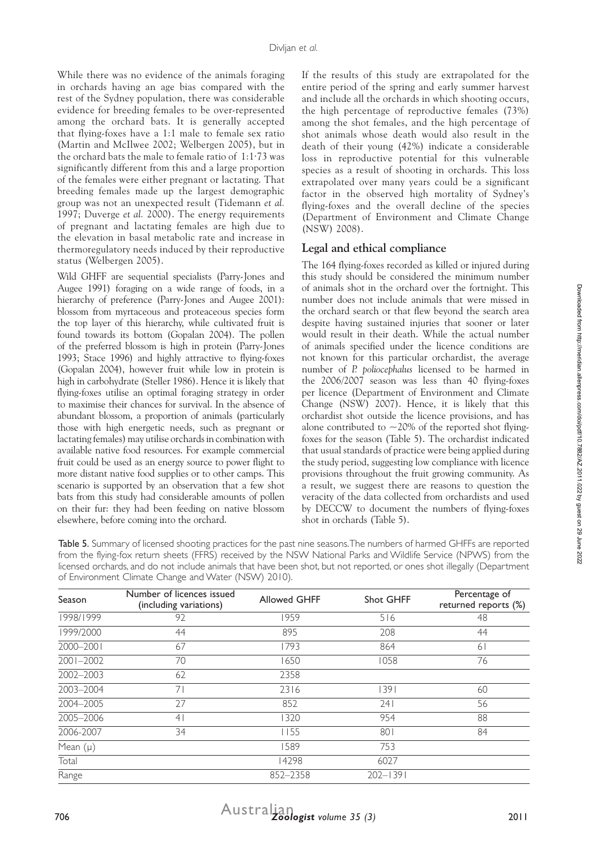While there was no evidence of the animals foraging in orchards having an age bias compared with the rest of the Sydney population, there was considerable evidence for breeding females to be over-represented among the orchard bats. It is generally accepted that flying-foxes have a 1:1 male to female sex ratio (Martin and McIlwee 2002; Welbergen 2005), but in the orchard bats the male to female ratio of 1:1∙73 was significantly different from this and a large proportion of the females were either pregnant or lactating. That breeding females made up the largest demographic group was not an unexpected result (Tidemann *et al.* 1997; Duverge *et al.* 2000). The energy requirements of pregnant and lactating females are high due to the elevation in basal metabolic rate and increase in thermoregulatory needs induced by their reproductive status (Welbergen 2005).

Wild GHFF are sequential specialists (Parry-Jones and Augee 1991) foraging on a wide range of foods, in a hierarchy of preference (Parry-Jones and Augee 2001): blossom from myrtaceous and proteaceous species form the top layer of this hierarchy, while cultivated fruit is found towards its bottom (Gopalan 2004). The pollen of the preferred blossom is high in protein (Parry-Jones 1993; Stace 1996) and highly attractive to flying-foxes (Gopalan 2004), however fruit while low in protein is high in carbohydrate (Steller 1986). Hence it is likely that flying-foxes utilise an optimal foraging strategy in order to maximise their chances for survival. In the absence of abundant blossom, a proportion of animals (particularly those with high energetic needs, such as pregnant or lactating females) may utilise orchards in combination with available native food resources. For example commercial fruit could be used as an energy source to power flight to more distant native food supplies or to other camps. This scenario is supported by an observation that a few shot bats from this study had considerable amounts of pollen on their fur: they had been feeding on native blossom elsewhere, before coming into the orchard.

If the results of this study are extrapolated for the entire period of the spring and early summer harvest and include all the orchards in which shooting occurs, the high percentage of reproductive females (73%) among the shot females, and the high percentage of shot animals whose death would also result in the death of their young (42%) indicate a considerable loss in reproductive potential for this vulnerable species as a result of shooting in orchards. This loss extrapolated over many years could be a significant factor in the observed high mortality of Sydney's flying-foxes and the overall decline of the species (Department of Environment and Climate Change (NSW) 2008).

# **Legal and ethical compliance**

The 164 flying-foxes recorded as killed or injured during this study should be considered the minimum number of animals shot in the orchard over the fortnight. This number does not include animals that were missed in the orchard search or that flew beyond the search area despite having sustained injuries that sooner or later would result in their death. While the actual number of animals specified under the licence conditions are not known for this particular orchardist, the average number of *P. poliocephalus* licensed to be harmed in the 2006/2007 season was less than 40 flying-foxes per licence (Department of Environment and Climate Change (NSW) 2007). Hence, it is likely that this orchardist shot outside the licence provisions, and has alone contributed to  $\sim$ 20% of the reported shot flyingfoxes for the season (Table 5). The orchardist indicated that usual standards of practice were being applied during the study period, suggesting low compliance with licence provisions throughout the fruit growing community. As a result, we suggest there are reasons to question the veracity of the data collected from orchardists and used by DECCW to document the numbers of flying-foxes shot in orchards (Table 5).

Table 5. Summary of licensed shooting practices for the past nine seasons. The numbers of harmed GHFFs are reported from the flying-fox return sheets (FFRS) received by the NSW National Parks and Wildlife Service (NPWS) from the licensed orchards, and do not include animals that have been shot, but not reported, or ones shot illegally (Department of Environment Climate Change and Water (NSW) 2010).

| Season        | Number of licences issued<br>(including variations) | <b>Allowed GHFF</b> | Shot GHFF    | Percentage of<br>returned reports (%) |
|---------------|-----------------------------------------------------|---------------------|--------------|---------------------------------------|
| 1998/1999     | 92                                                  | 1959                | 516          | 48                                    |
| 1999/2000     | 44                                                  | 895                 | 208          | 44                                    |
| 2000-2001     | 67                                                  | 1793                | 864          | 61                                    |
| $2001 - 2002$ | 70                                                  | 1650                | 1058         | 76                                    |
| 2002-2003     | 62                                                  | 2358                |              |                                       |
| 2003-2004     | 71                                                  | 2316                | 391          | 60                                    |
| 2004-2005     | 27                                                  | 852                 | 241          | 56                                    |
| 2005-2006     | 4 <sub>1</sub>                                      | 1320                | 954          | 88                                    |
| 2006-2007     | 34                                                  | 1155                | 801          | 84                                    |
| Mean $(\mu)$  |                                                     | 1589                | 753          |                                       |
| Total         |                                                     | 14298               | 6027         |                                       |
| Range         |                                                     | 852-2358            | $202 - 1391$ |                                       |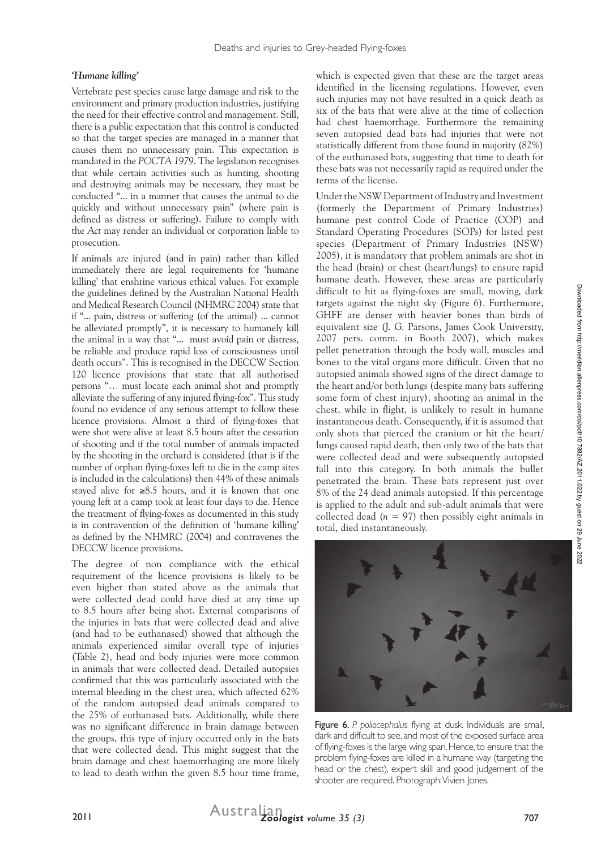#### *'Humane killing'*

Vertebrate pest species cause large damage and risk to the environment and primary production industries, justifying the need for their effective control and management. Still, there is a public expectation that this control is conducted so that the target species are managed in a manner that causes them no unnecessary pain. This expectation is mandated in the *POCTA 1979*. The legislation recognises that while certain activities such as hunting, shooting and destroying animals may be necessary, they must be conducted "... in a manner that causes the animal to die quickly and without unnecessary pain" (where pain is defined as distress or suffering). Failure to comply with the *Act* may render an individual or corporation liable to prosecution.

If animals are injured (and in pain) rather than killed immediately there are legal requirements for 'humane killing' that enshrine various ethical values. For example the guidelines defined by the Australian National Health and Medical Research Council (NHMRC 2004) state that if "... pain, distress or suffering (of the animal) ... cannot be alleviated promptly", it is necessary to humanely kill the animal in a way that "... must avoid pain or distress, be reliable and produce rapid loss of consciousness until death occurs". This is recognised in the DECCW Section 120 licence provisions that state that all authorised persons "… must locate each animal shot and promptly alleviate the suffering of any injured flying-fox". This study found no evidence of any serious attempt to follow these licence provisions. Almost a third of flying-foxes that were shot were alive at least 8.5 hours after the cessation of shooting and if the total number of animals impacted by the shooting in the orchard is considered (that is if the number of orphan flying-foxes left to die in the camp sites is included in the calculations) then 44% of these animals stayed alive for ≥8.5 hours, and it is known that one young left at a camp took at least four days to die. Hence the treatment of flying-foxes as documented in this study is in contravention of the definition of 'humane killing' as defined by the NHMRC (2004) and contravenes the DECCW licence provisions.

The degree of non compliance with the ethical requirement of the licence provisions is likely to be even higher than stated above as the animals that were collected dead could have died at any time up to 8.5 hours after being shot. External comparisons of the injuries in bats that were collected dead and alive (and had to be euthanased) showed that although the animals experienced similar overall type of injuries (Table 2), head and body injuries were more common in animals that were collected dead. Detailed autopsies confirmed that this was particularly associated with the internal bleeding in the chest area, which affected 62% of the random autopsied dead animals compared to the 25% of euthanased bats. Additionally, while there was no significant difference in brain damage between the groups, this type of injury occurred only in the bats that were collected dead. This might suggest that the brain damage and chest haemorrhaging are more likely to lead to death within the given 8.5 hour time frame,

which is expected given that these are the target areas identified in the licensing regulations. However, even such injuries may not have resulted in a quick death as six of the bats that were alive at the time of collection had chest haemorrhage. Furthermore the remaining seven autopsied dead bats had injuries that were not statistically different from those found in majority (82%) of the euthanased bats, suggesting that time to death for these bats was not necessarily rapid as required under the terms of the license.

Under the NSW Department of Industry and Investment (formerly the Department of Primary Industries) humane pest control Code of Practice (COP) and Standard Operating Procedures (SOPs) for listed pest species (Department of Primary Industries (NSW) 2005), it is mandatory that problem animals are shot in the head (brain) or chest (heart/lungs) to ensure rapid humane death. However, these areas are particularly difficult to hit as flying-foxes are small, moving, dark targets against the night sky (Figure 6). Furthermore, GHFF are denser with heavier bones than birds of equivalent size (J. G. Parsons, James Cook University, 2007 pers. comm. in Booth 2007), which makes pellet penetration through the body wall, muscles and bones to the vital organs more difficult. Given that no autopsied animals showed signs of the direct damage to the heart and/or both lungs (despite many bats suffering some form of chest injury), shooting an animal in the chest, while in flight, is unlikely to result in humane instantaneous death. Consequently, if it is assumed that only shots that pierced the cranium or hit the heart/ lungs caused rapid death, then only two of the bats that were collected dead and were subsequently autopsied fall into this category. In both animals the bullet penetrated the brain. These bats represent just over 8% of the 24 dead animals autopsied. If this percentage is applied to the adult and sub-adult animals that were collected dead  $(n = 97)$  then possibly eight animals in total, died instantaneously.



Figure 6. *P. poliocephalus* flying at dusk. Individuals are small, dark and difficult to see, and most of the exposed surface area of flying-foxes is the large wing span. Hence, to ensure that the problem flying-foxes are killed in a humane way (targeting the head or the chest), expert skill and good judgement of the shooter are required. Photograph: Vivien Jones.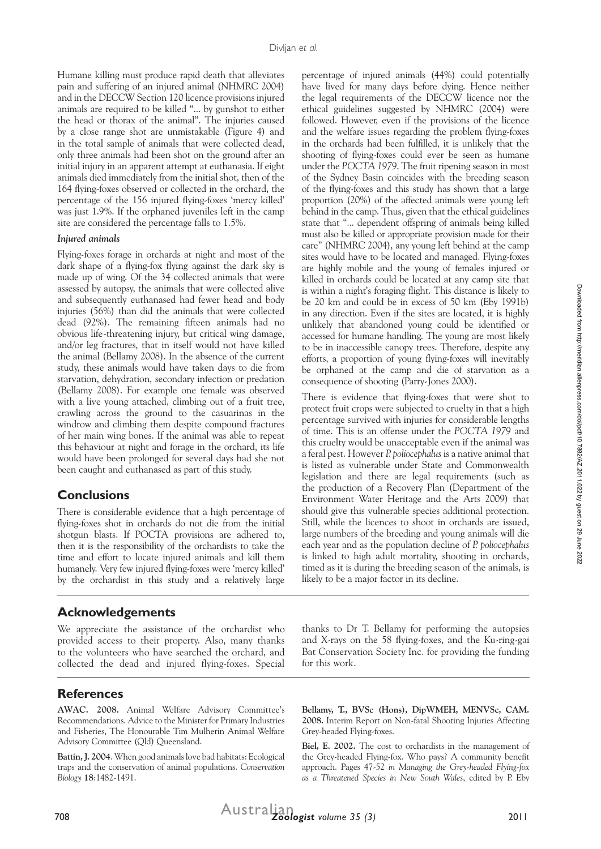Humane killing must produce rapid death that alleviates pain and suffering of an injured animal (NHMRC 2004) and in the DECCW Section 120 licence provisions injured animals are required to be killed "... by gunshot to either the head or thorax of the animal". The injuries caused by a close range shot are unmistakable (Figure 4) and in the total sample of animals that were collected dead, only three animals had been shot on the ground after an initial injury in an apparent attempt at euthanasia. If eight animals died immediately from the initial shot, then of the 164 flying-foxes observed or collected in the orchard, the percentage of the 156 injured flying-foxes 'mercy killed' was just 1.9%. If the orphaned juveniles left in the camp site are considered the percentage falls to 1.5%.

#### *Injured animals*

Flying-foxes forage in orchards at night and most of the dark shape of a flying-fox flying against the dark sky is made up of wing. Of the 34 collected animals that were assessed by autopsy, the animals that were collected alive and subsequently euthanased had fewer head and body injuries (56%) than did the animals that were collected dead (92%). The remaining fifteen animals had no obvious life-threatening injury, but critical wing damage, and/or leg fractures, that in itself would not have killed the animal (Bellamy 2008). In the absence of the current study, these animals would have taken days to die from starvation, dehydration, secondary infection or predation (Bellamy 2008). For example one female was observed with a live young attached, climbing out of a fruit tree, crawling across the ground to the casuarinas in the windrow and climbing them despite compound fractures of her main wing bones. If the animal was able to repeat this behaviour at night and forage in the orchard, its life would have been prolonged for several days had she not been caught and euthanased as part of this study.

#### **Conclusions**

There is considerable evidence that a high percentage of flying-foxes shot in orchards do not die from the initial shotgun blasts. If POCTA provisions are adhered to, then it is the responsibility of the orchardists to take the time and effort to locate injured animals and kill them humanely. Very few injured flying-foxes were 'mercy killed' by the orchardist in this study and a relatively large

# **Acknowledgements**

We appreciate the assistance of the orchardist who provided access to their property. Also, many thanks to the volunteers who have searched the orchard, and collected the dead and injured flying-foxes. Special

# **References**

**AWAC. 2008.** Animal Welfare Advisory Committee's Recommendations. Advice to the Minister for Primary Industries and Fisheries, The Honourable Tim Mulherin Animal Welfare Advisory Committee (Qld) Queensland.

**Battin, J. 2004**. When good animals love bad habitats: Ecological traps and the conservation of animal populations. *Conservation Biology* **18**:1482-1491.

percentage of injured animals (44%) could potentially have lived for many days before dying. Hence neither the legal requirements of the DECCW licence nor the ethical guidelines suggested by NHMRC (2004) were followed. However, even if the provisions of the licence and the welfare issues regarding the problem flying-foxes in the orchards had been fulfilled, it is unlikely that the shooting of flying-foxes could ever be seen as humane under the *POCTA 1979*. The fruit ripening season in most of the Sydney Basin coincides with the breeding season of the flying-foxes and this study has shown that a large proportion (20%) of the affected animals were young left behind in the camp. Thus, given that the ethical guidelines state that "... dependent offspring of animals being killed must also be killed or appropriate provision made for their care" (NHMRC 2004), any young left behind at the camp sites would have to be located and managed. Flying-foxes are highly mobile and the young of females injured or killed in orchards could be located at any camp site that is within a night's foraging flight. This distance is likely to be 20 km and could be in excess of 50 km (Eby 1991b) in any direction. Even if the sites are located, it is highly unlikely that abandoned young could be identified or accessed for humane handling. The young are most likely to be in inaccessible canopy trees. Therefore, despite any efforts, a proportion of young flying-foxes will inevitably be orphaned at the camp and die of starvation as a consequence of shooting (Parry-Jones 2000).

There is evidence that flying-foxes that were shot to protect fruit crops were subjected to cruelty in that a high percentage survived with injuries for considerable lengths of time. This is an offense under the *POCTA 1979* and this cruelty would be unacceptable even if the animal was a feral pest. However *P. poliocephalus* is a native animal that is listed as vulnerable under State and Commonwealth legislation and there are legal requirements (such as the production of a Recovery Plan (Department of the Environment Water Heritage and the Arts 2009) that should give this vulnerable species additional protection. Still, while the licences to shoot in orchards are issued, large numbers of the breeding and young animals will die each year and as the population decline of *P. poliocephalus* is linked to high adult mortality, shooting in orchards, timed as it is during the breeding season of the animals, is likely to be a major factor in its decline.

thanks to Dr T. Bellamy for performing the autopsies and X-rays on the 58 flying-foxes, and the Ku-ring-gai Bat Conservation Society Inc. for providing the funding for this work.

**Bellamy, T., BVSc (Hons), DipWMEH, MENVSc, CAM. 2008.** Interim Report on Non-fatal Shooting Injuries Affecting Grey-headed Flying-foxes.

**Biel, E. 2002.** The cost to orchardists in the management of the Grey-headed Flying-fox. Who pays? A community benefit approach. Pages 47-52 *in Managing the Grey-headed Flying-fox as a Threatened Species in New South Wales*, edited by P. Eby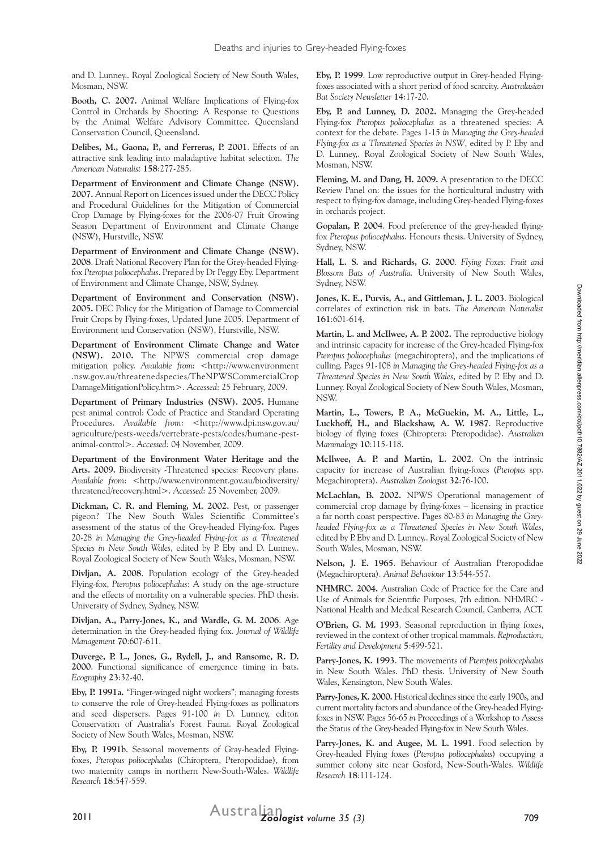and D. Lunney.. Royal Zoological Society of New South Wales, Mosman, NSW.

**Booth, C. 2007.** Animal Welfare Implications of Flying-fox Control in Orchards by Shooting: A Response to Questions by the Animal Welfare Advisory Committee. Queensland Conservation Council, Queensland.

**Delibes, M., Gaona, P., and Ferreras, P. 2001**. Effects of an attractive sink leading into maladaptive habitat selection. *The American Naturalist* **158**:277-285.

**Department of Environment and Climate Change (NSW). 2007.** Annual Report on Licences issued under the DECC Policy and Procedural Guidelines for the Mitigation of Commercial Crop Damage by Flying-foxes for the 2006-07 Fruit Growing Season Department of Environment and Climate Change (NSW), Hurstville, NSW.

**Department of Environment and Climate Change (NSW). 2008**. Draft National Recovery Plan for the Grey-headed Flyingfox *Pteropus poliocephalus*. Prepared by Dr Peggy Eby. Department of Environment and Climate Change, NSW, Sydney.

**Department of Environment and Conservation (NSW). 2005.** DEC Policy for the Mitigation of Damage to Commercial Fruit Crops by Flying-foxes, Updated June 2005. Department of Environment and Conservation (NSW), Hurstville, NSW.

**Department of Environment Climate Change and Water (NSW). 2010.** The NPWS commercial crop damage mitigation policy. Available from: <http://www.environment .nsw.gov.au/threatenedspecies/TheNPWSCommercialCrop DamageMitigationPolicy.htm>. *Accessed*: 25 February, 2009.

**Department of Primary Industries (NSW). 2005.** Humane pest animal control: Code of Practice and Standard Operating Procedures. Available from: <http://www.dpi.nsw.gov.au/ agriculture/pests-weeds/vertebrate-pests/codes/humane-pestanimal-control>. *Accessed*: 04 November, 2009.

**Department of the Environment Water Heritage and the Arts. 2009.** Biodiversity -Threatened species: Recovery plans. *Available from*: <http://www.environment.gov.au/biodiversity/ threatened/recovery.html>. *Accessed*: 25 November, 2009.

**Dickman, C. R. and Fleming, M. 2002.** Pest, or passenger pigeon? The New South Wales Scientific Committee's assessment of the status of the Grey-headed Flying-fox. Pages 20-28 *in Managing the Grey-headed Flying-fox as a Threatened Species in New South Wales*, edited by P. Eby and D. Lunney.. Royal Zoological Society of New South Wales, Mosman, NSW.

**Divljan, A. 2008**. Population ecology of the Grey-headed Flying-fox, *Pteropus poliocephalus*: A study on the age-structure and the effects of mortality on a vulnerable species. PhD thesis. University of Sydney, Sydney, NSW.

**Divljan, A., Parry-Jones, K., and Wardle, G. M. 2006**. Age determination in the Grey-headed flying fox. *Journal of Wildlife Management* **70**:607-611.

**Duverge, P. L., Jones, G., Rydell, J., and Ransome, R. D. 2000**. Functional significance of emergence timing in bats. *Ecography* **23**:32-40.

**Eby, P. 1991a.** "Finger-winged night workers"; managing forests to conserve the role of Grey-headed Flying-foxes as pollinators and seed dispersers. Pages 91-100 *in* D. Lunney, editor. Conservation of Australia's Forest Fauna. Royal Zoological Society of New South Wales, Mosman, NSW.

**Eby, P. 1991b**. Seasonal movements of Gray-headed Flyingfoxes, *Pteropus poliocephalus* (Chiroptera, Pteropodidae), from two maternity camps in northern New-South-Wales. *Wildlife Research* **18**:547-559.

**Eby, P. 1999**. Low reproductive output in Grey-headed Flyingfoxes associated with a short period of food scarcity. *Australasian Bat Society Newsletter* **14**:17-20.

**Eby, P. and Lunney, D. 2002.** Managing the Grey-headed Flying-fox *Pteropus poliocephalus* as a threatened species: A context for the debate. Pages 1-15 *in Managing the Grey-headed Flying-fox as a Threatened Species in NSW*, edited by P. Eby and D. Lunney,. Royal Zoological Society of New South Wales, Mosman, NSW.

**Fleming, M. and Dang, H. 2009.** A presentation to the DECC Review Panel on: the issues for the horticultural industry with respect to flying-fox damage, including Grey-headed Flying-foxes in orchards project.

**Gopalan, P. 2004**. Food preference of the grey-headed flyingfox *Pteropus poliocephalus*. Honours thesis. University of Sydney, Sydney, NSW.

**Hall, L. S. and Richards, G. 2000**. *Flying Foxes: Fruit and Blossom Bats of Australia.* University of New South Wales, Sydney, NSW.

**Jones, K. E., Purvis, A., and Gittleman, J. L. 2003**. Biological correlates of extinction risk in bats. *The American Naturalist* **161**:601-614.

**Martin, L. and McIlwee, A. P. 2002.** The reproductive biology and intrinsic capacity for increase of the Grey-headed Flying-fox *Pteropus poliocephalus* (megachiroptera), and the implications of culling. Pages 91-108 *in Managing the Grey-headed Flying-fox as a Threatened Species in New South Wales*, edited by P. Eby and D. Lunney. Royal Zoological Society of New South Wales, Mosman, NSW.

**Martin, L., Towers, P. A., McGuckin, M. A., Little, L., Luckhoff, H., and Blackshaw, A. W. 1987**. Reproductive biology of flying foxes (Chiroptera: Pteropodidae). *Australian Mammalogy* **10**:115-118.

**McIlwee, A. P. and Martin, L. 2002**. On the intrinsic capacity for increase of Australian flying-foxes (*Pteropus* spp. Megachiroptera). *Australian Zoologist* **32**:76-100.

**McLachlan, B. 2002.** NPWS Operational management of commercial crop damage by flying-foxes – licensing in practice a far north coast perspective. Pages 80-83 *in Managing the Greyheaded Flying-fox as a Threatened Species in New South Wales*, edited by P. Eby and D. Lunney.. Royal Zoological Society of New South Wales, Mosman, NSW.

**Nelson, J. E. 1965**. Behaviour of Australian Pteropodidae (Megachiroptera). *Animal Behaviour* **13**:544-557.

**NHMRC. 2004.** Australian Code of Practice for the Care and Use of Animals for Scientific Purposes, 7th edition. NHMRC National Health and Medical Research Council, Canberra, ACT.

**O'Brien, G. M. 1993**. Seasonal reproduction in flying foxes, reviewed in the context of other tropical mammals. *Reproduction, Fertility and Development* **5**:499-521.

**Parry-Jones, K. 1993**. The movements of *Pteropus poliocephalus*  in New South Wales. PhD thesis. University of New South Wales, Kensington, New South Wales.

**Parry-Jones, K. 2000.** Historical declines since the early 1900s, and current mortality factors and abundance of the Grey-headed Flyingfoxes in NSW. Pages 56-65 *in* Proceedings of a Workshop to Assess the Status of the Grey-headed Flying-fox in New South Wales.

**Parry-Jones, K. and Augee, M. L. 1991**. Food selection by Grey-headed Flying foxes (*Pteropus poliocephalus*) occupying a summer colony site near Gosford, New-South-Wales. *Wildlife Research* **18**:111-124.